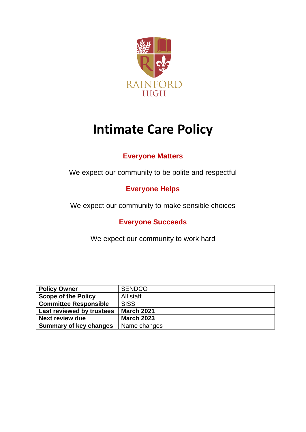

# **Intimate Care Policy**

# **Everyone Matters**

We expect our community to be polite and respectful

# **Everyone Helps**

We expect our community to make sensible choices

## **Everyone Succeeds**

We expect our community to work hard

| <b>Policy Owner</b>           | <b>SENDCO</b>     |
|-------------------------------|-------------------|
| <b>Scope of the Policy</b>    | All staff         |
| <b>Committee Responsible</b>  | <b>SISS</b>       |
| Last reviewed by trustees     | <b>March 2021</b> |
| <b>Next review due</b>        | <b>March 2023</b> |
| <b>Summary of key changes</b> | Name changes      |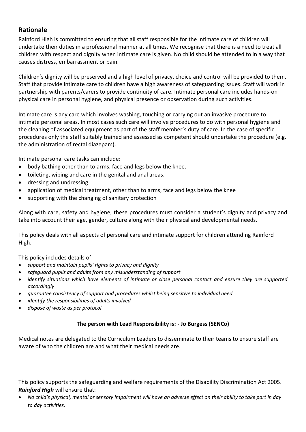## **Rationale**

Rainford High is committed to ensuring that all staff responsible for the intimate care of children will undertake their duties in a professional manner at all times. We recognise that there is a need to treat all children with respect and dignity when intimate care is given. No child should be attended to in a way that causes distress, embarrassment or pain.

Children's dignity will be preserved and a high level of privacy, choice and control will be provided to them. Staff that provide intimate care to children have a high awareness of safeguarding issues. Staff will work in partnership with parents/carers to provide continuity of care. Intimate personal care includes hands-on physical care in personal hygiene, and physical presence or observation during such activities.

Intimate care is any care which involves washing, touching or carrying out an invasive procedure to intimate personal areas. In most cases such care will involve procedures to do with personal hygiene and the cleaning of associated equipment as part of the staff member's duty of care. In the case of specific procedures only the staff suitably trained and assessed as competent should undertake the procedure (e.g. the administration of rectal diazepam).

Intimate personal care tasks can include:

- body bathing other than to arms, face and legs below the knee.
- toileting, wiping and care in the genital and anal areas.
- dressing and undressing.
- application of medical treatment, other than to arms, face and legs below the knee
- supporting with the changing of sanitary protection

Along with care, safety and hygiene, these procedures must consider a student's dignity and privacy and take into account their age, gender, culture along with their physical and developmental needs.

This policy deals with all aspects of personal care and intimate support for children attending Rainford High.

This policy includes details of:

- *support and maintain pupils' rights to privacy and dignity*
- *safeguard pupils and adults from any misunderstanding of support*
- *identify situations which have elements of intimate or close personal contact and ensure they are supported accordingly*
- *guarantee consistency of support and procedures whilst being sensitive to individual need*
- *identify the responsibilities of adults involved*
- *dispose of waste as per protocol*

#### **The person with Lead Responsibility is: - Jo Burgess (SENCo)**

Medical notes are delegated to the Curriculum Leaders to disseminate to their teams to ensure staff are aware of who the children are and what their medical needs are.

This policy supports the safeguarding and welfare requirements of the Disability Discrimination Act 2005. *Rainford High* will ensure that:

• *No child's physical, mental or sensory impairment will have an adverse effect on their ability to take part in day to day activities.*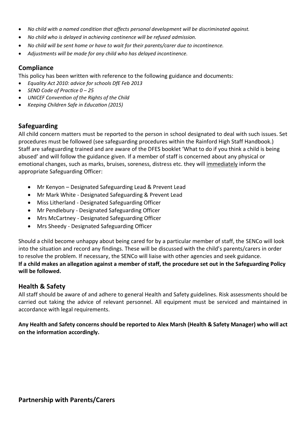- *No child with a named condition that affects personal development will be discriminated against.*
- *No child who is delayed in achieving continence will be refused admission.*
- *No child will be sent home or have to wait for their parents/carer due to incontinence.*
- *Adjustments will be made for any child who has delayed incontinence.*

#### **Compliance**

This policy has been written with reference to the following guidance and documents:

- *Equality Act 2010: advice for schools DfE Feb 2013*
- *SEND Code of Practice 0 – 25*
- *UNICEF Convention of the Rights of the Child*
- *Keeping Children Safe in Education (2015)*

#### **Safeguarding**

All child concern matters must be reported to the person in school designated to deal with such issues. Set procedures must be followed (see safeguarding procedures within the Rainford High Staff Handbook.) Staff are safeguarding trained and are aware of the DFES booklet 'What to do if you think a child is being abused' and will follow the guidance given. If a member of staff is concerned about any physical or emotional changes, such as marks, bruises, soreness, distress etc. they will immediately inform the appropriate Safeguarding Officer:

- Mr Kenyon Designated Safeguarding Lead & Prevent Lead
- Mr Mark White Designated Safeguarding & Prevent Lead
- Miss Litherland Designated Safeguarding Officer
- Mr Pendlebury Designated Safeguarding Officer
- Mrs McCartney Designated Safeguarding Officer
- Mrs Sheedy Designated Safeguarding Officer

Should a child become unhappy about being cared for by a particular member of staff, the SENCo will look into the situation and record any findings. These will be discussed with the child's parents/carers in order to resolve the problem. If necessary, the SENCo will liaise with other agencies and seek guidance. **If a child makes an allegation against a member of staff, the procedure set out in the Safeguarding Policy will be followed.** 

#### **Health & Safety**

All staff should be aware of and adhere to general Health and Safety guidelines. Risk assessments should be carried out taking the advice of relevant personnel. All equipment must be serviced and maintained in accordance with legal requirements.

**Any Health and Safety concerns should be reported to Alex Marsh (Health & Safety Manager) who will act on the information accordingly.**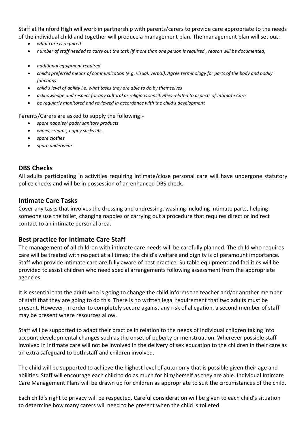Staff at Rainford High will work in partnership with parents/carers to provide care appropriate to the needs of the individual child and together will produce a management plan. The management plan will set out:

- *what care is required*
- *number of staff needed to carry out the task (if more than one person is required , reason will be documented)*
- *additional equipment required*
- *child's preferred means of communication (e.g. visual, verbal). Agree terminology for parts of the body and bodily functions*
- *child's level of ability i.e. what tasks they are able to do by themselves*
- *acknowledge and respect for any cultural or religious sensitivities related to aspects of Intimate Care*
- *be regularly monitored and reviewed in accordance with the child's development*

Parents/Carers are asked to supply the following:-

- *spare nappies/ pads/ sanitary products*
- *wipes, creams, nappy sacks etc.*
- *spare clothes*
- *spare underwear*

#### **DBS Checks**

All adults participating in activities requiring intimate/close personal care will have undergone statutory police checks and will be in possession of an enhanced DBS check.

#### **Intimate Care Tasks**

Cover any tasks that involves the dressing and undressing, washing including intimate parts, helping someone use the toilet, changing nappies or carrying out a procedure that requires direct or indirect contact to an intimate personal area.

#### **Best practice for Intimate Care Staff**

The management of all children with intimate care needs will be carefully planned. The child who requires care will be treated with respect at all times; the child's welfare and dignity is of paramount importance. Staff who provide intimate care are fully aware of best practice. Suitable equipment and facilities will be provided to assist children who need special arrangements following assessment from the appropriate agencies.

It is essential that the adult who is going to change the child informs the teacher and/or another member of staff that they are going to do this. There is no written legal requirement that two adults must be present. However, in order to completely secure against any risk of allegation, a second member of staff may be present where resources allow.

Staff will be supported to adapt their practice in relation to the needs of individual children taking into account developmental changes such as the onset of puberty or menstruation. Wherever possible staff involved in intimate care will not be involved in the delivery of sex education to the children in their care as an extra safeguard to both staff and children involved.

The child will be supported to achieve the highest level of autonomy that is possible given their age and abilities. Staff will encourage each child to do as much for him/herself as they are able. Individual Intimate Care Management Plans will be drawn up for children as appropriate to suit the circumstances of the child.

Each child's right to privacy will be respected. Careful consideration will be given to each child's situation to determine how many carers will need to be present when the child is toileted.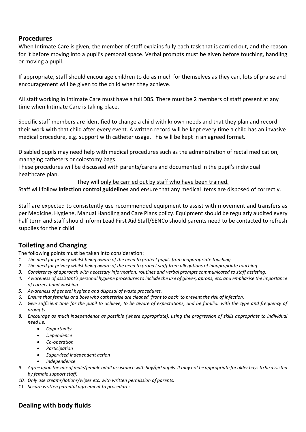#### **Procedures**

When Intimate Care is given, the member of staff explains fully each task that is carried out, and the reason for it before moving into a pupil's personal space. Verbal prompts must be given before touching, handling or moving a pupil.

If appropriate, staff should encourage children to do as much for themselves as they can, lots of praise and encouragement will be given to the child when they achieve.

All staff working in Intimate Care must have a full DBS. There must be 2 members of staff present at any time when Intimate Care is taking place.

Specific staff members are identified to change a child with known needs and that they plan and record their work with that child after every event. A written record will be kept every time a child has an invasive medical procedure, e.g. support with catheter usage. This will be kept in an agreed format.

Disabled pupils may need help with medical procedures such as the administration of rectal medication, managing catheters or colostomy bags.

These procedures will be discussed with parents/carers and documented in the pupil's individual healthcare plan.

They will only be carried out by staff who have been trained.

Staff will follow **infection control guidelines** and ensure that any medical items are disposed of correctly.

Staff are expected to consistently use recommended equipment to assist with movement and transfers as per Medicine, Hygiene, Manual Handling and Care Plans policy. Equipment should be regularly audited every half term and staff should inform Lead First Aid Staff/SENCo should parents need to be contacted to refresh supplies for their child.

## **Toileting and Changing**

The following points must be taken into consideration:

- *1. The need for privacy whilst being aware of the need to protect pupils from inappropriate touching.*
- *2. The need for privacy whilst being aware of the need to protect staff from allegations of inappropriate touching.*
- *3. Consistency of approach with necessary information, routines and verbal prompts communicated to staff assisting.*
- *4. Awareness of assistant's personal hygiene procedures to include the use of gloves, aprons, etc. and emphasise the importance of correct hand washing.*
- *5. Awareness of general hygiene and disposal of waste procedures.*
- *6. Ensure that females and boys who catheterise are cleaned 'front to back' to prevent the risk of infection.*
- *7. Give sufficient time for the pupil to achieve, to be aware of expectations, and be familiar with the type and frequency of prompts.*
- *8. Encourage as much independence as possible (where appropriate), using the progression of skills appropriate to individual need i.e.*
	- *Opportunity*
	- *Dependence*
	- *Co-operation*
	- *Participation*
	- *Supervised independent action*
		- *Independence*
- *9. Agree upon the mix of male/female adult assistance with boy/girl pupils. It may not be appropriate for older boys to be assisted by female support staff.*
- *10. Only use creams/lotions/wipes etc. with written permission of parents.*
- *11. Secure written parental agreement to procedures.*

## **Dealing with body fluids**